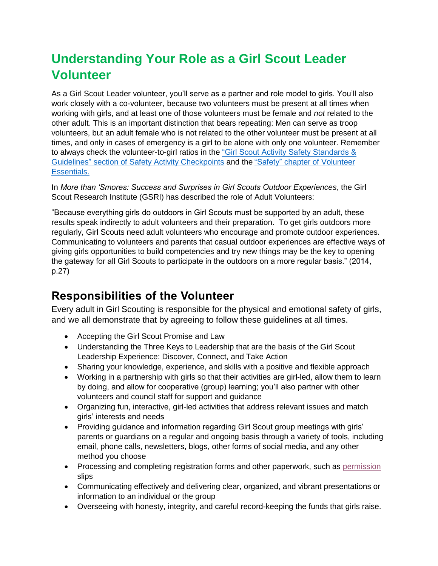# **Understanding Your Role as a Girl Scout Leader Volunteer**

As a Girl Scout Leader volunteer, you'll serve as a partner and role model to girls. You'll also work closely with a co-volunteer, because two volunteers must be present at all times when working with girls, and at least one of those volunteers must be female and *not* related to the other adult. This is an important distinction that bears repeating: Men can serve as troop volunteers, but an adult female who is not related to the other volunteer must be present at all times, and only in cases of emergency is a girl to be alone with only one volunteer. Remember to always check the volunteer-to-girl ratios in the ["Girl Scout Activity Safety Standards &](https://www.gswcf.org/content/dam/wcf-images/pdf-forms/Safety-Activity-Checkpoints.pdf)  Guidelines" section [of Safety Activity Checkpoints](https://www.gswcf.org/content/dam/wcf-images/pdf-forms/Safety-Activity-Checkpoints.pdf) and the "Safety" [chapter of Volunteer](https://www.gswcf.org/en/volunteers/VolunteerEssentials/Safety.html)  [Essentials.](https://www.gswcf.org/en/volunteers/VolunteerEssentials/Safety.html)

In *More than 'Smores: Success and Surprises in Girl Scouts Outdoor Experiences*, the Girl Scout Research Institute (GSRI) has described the role of Adult Volunteers:

"Because everything girls do outdoors in Girl Scouts must be supported by an adult, these results speak indirectly to adult volunteers and their preparation. To get girls outdoors more regularly, Girl Scouts need adult volunteers who encourage and promote outdoor experiences. Communicating to volunteers and parents that casual outdoor experiences are effective ways of giving girls opportunities to build competencies and try new things may be the key to opening the gateway for all Girl Scouts to participate in the outdoors on a more regular basis." (2014, p.27)

## **Responsibilities of the Volunteer**

Every adult in Girl Scouting is responsible for the physical and emotional safety of girls, and we all demonstrate that by agreeing to follow these guidelines at all times.

- Accepting the Girl Scout Promise and Law
- Understanding the Three Keys to Leadership that are the basis of the Girl Scout Leadership Experience: Discover, Connect, and Take Action
- Sharing your knowledge, experience, and skills with a positive and flexible approach
- Working in a partnership with girls so that their activities are girl-led, allow them to learn by doing, and allow for cooperative (group) learning; you'll also partner with other volunteers and council staff for support and guidance
- Organizing fun, interactive, girl-led activities that address relevant issues and match girls' interests and needs
- Providing guidance and information regarding Girl Scout group meetings with girls' parents or guardians on a regular and ongoing basis through a variety of tools, including email, phone calls, newsletters, blogs, other forms of social media, and any other method you choose
- Processing and completing registration forms and other paperwork, such as [permission](http://www.gswcf.org/content/dam/wcf-images/pdf-forms/Girl-permission-form-Eng-Spn.pdf) slips
- Communicating effectively and delivering clear, organized, and vibrant presentations or information to an individual or the group
- Overseeing with honesty, integrity, and careful record-keeping the funds that girls raise.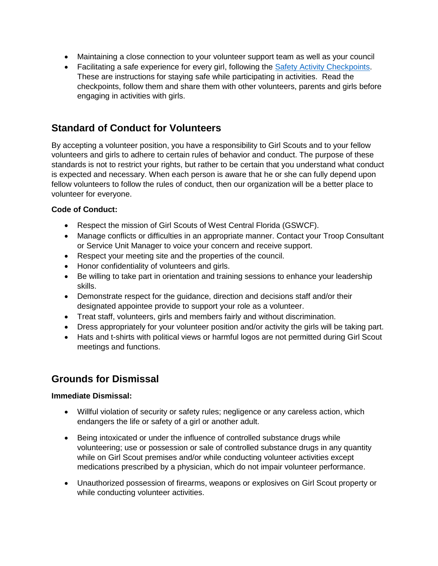- Maintaining a close connection to your volunteer support team as well as your council
- Facilitating a safe experience for every girl, following the **Safety Activity Checkpoints**. These are instructions for staying safe while participating in activities. Read the checkpoints, follow them and share them with other volunteers, parents and girls before engaging in activities with girls.

### **Standard of Conduct for Volunteers**

By accepting a volunteer position, you have a responsibility to Girl Scouts and to your fellow volunteers and girls to adhere to certain rules of behavior and conduct. The purpose of these standards is not to restrict your rights, but rather to be certain that you understand what conduct is expected and necessary. When each person is aware that he or she can fully depend upon fellow volunteers to follow the rules of conduct, then our organization will be a better place to volunteer for everyone.

### **Code of Conduct:**

- Respect the mission of Girl Scouts of West Central Florida (GSWCF).
- Manage conflicts or difficulties in an appropriate manner. Contact your Troop Consultant or Service Unit Manager to voice your concern and receive support.
- Respect your meeting site and the properties of the council.
- Honor confidentiality of volunteers and girls.
- Be willing to take part in orientation and training sessions to enhance your leadership skills.
- Demonstrate respect for the guidance, direction and decisions staff and/or their designated appointee provide to support your role as a volunteer.
- Treat staff, volunteers, girls and members fairly and without discrimination.
- Dress appropriately for your volunteer position and/or activity the girls will be taking part.
- Hats and t-shirts with political views or harmful logos are not permitted during Girl Scout meetings and functions.

### **Grounds for Dismissal**

### **Immediate Dismissal:**

- Willful violation of security or safety rules; negligence or any careless action, which endangers the life or safety of a girl or another adult.
- Being intoxicated or under the influence of controlled substance drugs while volunteering; use or possession or sale of controlled substance drugs in any quantity while on Girl Scout premises and/or while conducting volunteer activities except medications prescribed by a physician, which do not impair volunteer performance.
- Unauthorized possession of firearms, weapons or explosives on Girl Scout property or while conducting volunteer activities.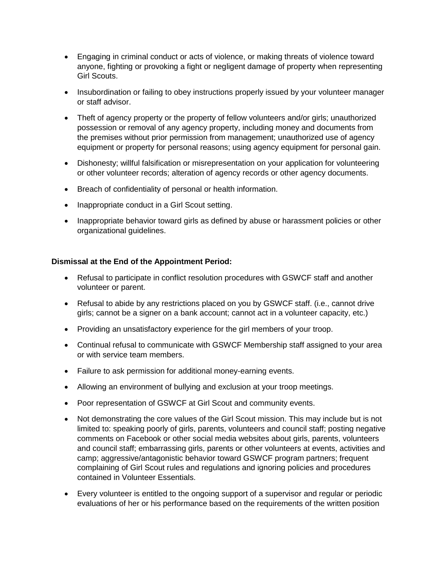- Engaging in criminal conduct or acts of violence, or making threats of violence toward anyone, fighting or provoking a fight or negligent damage of property when representing Girl Scouts.
- Insubordination or failing to obey instructions properly issued by your volunteer manager or staff advisor.
- Theft of agency property or the property of fellow volunteers and/or girls; unauthorized possession or removal of any agency property, including money and documents from the premises without prior permission from management; unauthorized use of agency equipment or property for personal reasons; using agency equipment for personal gain.
- Dishonesty; willful falsification or misrepresentation on your application for volunteering or other volunteer records; alteration of agency records or other agency documents.
- Breach of confidentiality of personal or health information.
- Inappropriate conduct in a Girl Scout setting.
- Inappropriate behavior toward girls as defined by abuse or harassment policies or other organizational guidelines.

### **Dismissal at the End of the Appointment Period:**

- Refusal to participate in conflict resolution procedures with GSWCF staff and another volunteer or parent.
- Refusal to abide by any restrictions placed on you by GSWCF staff. (i.e., cannot drive girls; cannot be a signer on a bank account; cannot act in a volunteer capacity, etc.)
- Providing an unsatisfactory experience for the girl members of your troop.
- Continual refusal to communicate with GSWCF Membership staff assigned to your area or with service team members.
- Failure to ask permission for additional money-earning events.
- Allowing an environment of bullying and exclusion at your troop meetings.
- Poor representation of GSWCF at Girl Scout and community events.
- Not demonstrating the core values of the Girl Scout mission. This may include but is not limited to: speaking poorly of girls, parents, volunteers and council staff; posting negative comments on Facebook or other social media websites about girls, parents, volunteers and council staff; embarrassing girls, parents or other volunteers at events, activities and camp; aggressive/antagonistic behavior toward GSWCF program partners; frequent complaining of Girl Scout rules and regulations and ignoring policies and procedures contained in Volunteer Essentials.
- Every volunteer is entitled to the ongoing support of a supervisor and regular or periodic evaluations of her or his performance based on the requirements of the written position